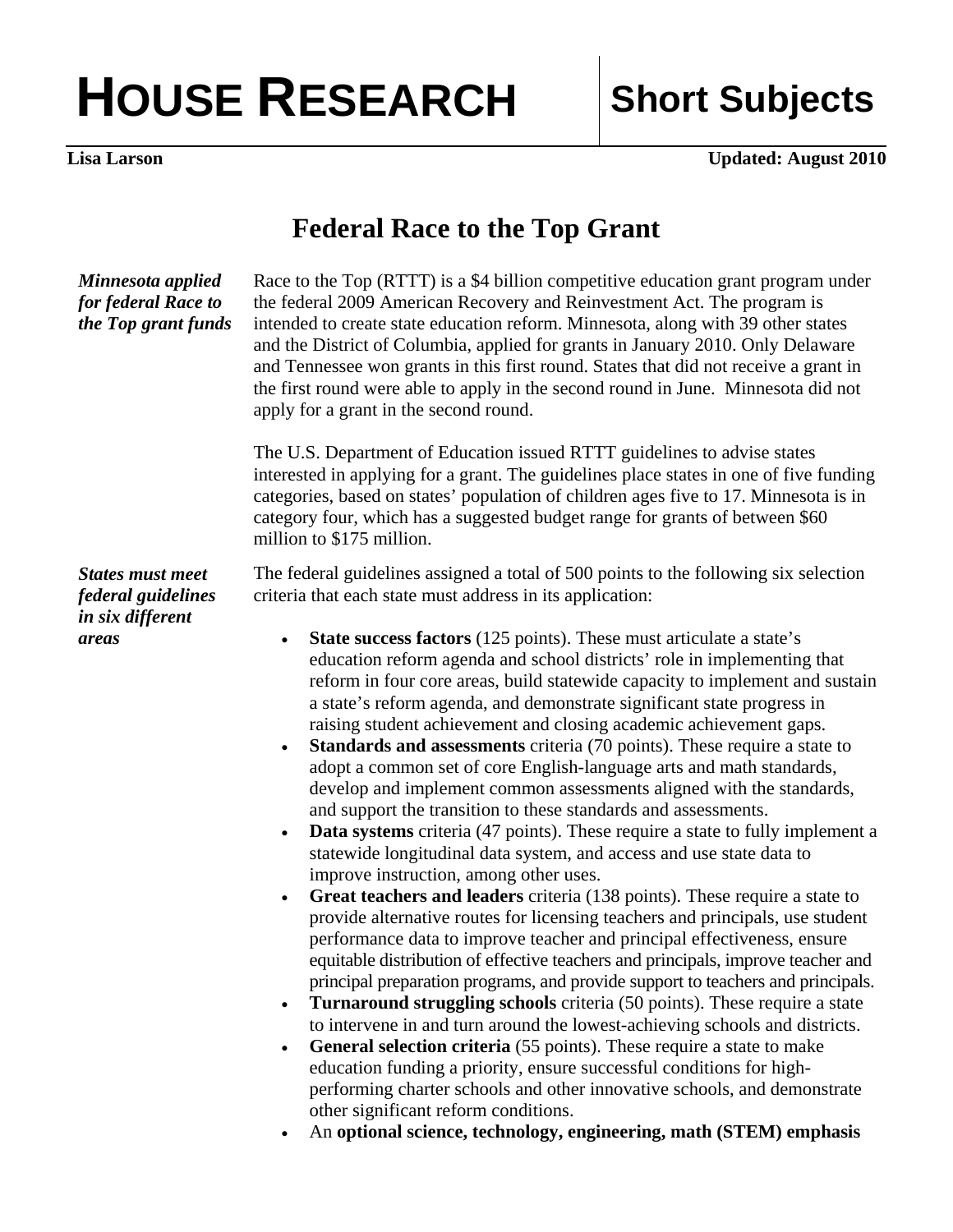## HOUSE RESEARCH Short Subjects

**Lisa Larson** Updated: August 2010

## **Federal Race to the Top Grant**

| Minnesota applied<br>for federal Race to<br>the Top grant funds            | Race to the Top (RTTT) is a \$4 billion competitive education grant program under<br>the federal 2009 American Recovery and Reinvestment Act. The program is<br>intended to create state education reform. Minnesota, along with 39 other states<br>and the District of Columbia, applied for grants in January 2010. Only Delaware<br>and Tennessee won grants in this first round. States that did not receive a grant in<br>the first round were able to apply in the second round in June. Minnesota did not<br>apply for a grant in the second round.                                                                                                                                                                                                                                                                                                                                                                                                                                                                                                                                                                                                                                                                                                                                                                                                                                                                                                                                                        |
|----------------------------------------------------------------------------|-------------------------------------------------------------------------------------------------------------------------------------------------------------------------------------------------------------------------------------------------------------------------------------------------------------------------------------------------------------------------------------------------------------------------------------------------------------------------------------------------------------------------------------------------------------------------------------------------------------------------------------------------------------------------------------------------------------------------------------------------------------------------------------------------------------------------------------------------------------------------------------------------------------------------------------------------------------------------------------------------------------------------------------------------------------------------------------------------------------------------------------------------------------------------------------------------------------------------------------------------------------------------------------------------------------------------------------------------------------------------------------------------------------------------------------------------------------------------------------------------------------------|
|                                                                            | The U.S. Department of Education issued RTTT guidelines to advise states<br>interested in applying for a grant. The guidelines place states in one of five funding<br>categories, based on states' population of children ages five to 17. Minnesota is in<br>category four, which has a suggested budget range for grants of between \$60<br>million to \$175 million.                                                                                                                                                                                                                                                                                                                                                                                                                                                                                                                                                                                                                                                                                                                                                                                                                                                                                                                                                                                                                                                                                                                                           |
| <b>States must meet</b><br>federal guidelines<br>in six different<br>areas | The federal guidelines assigned a total of 500 points to the following six selection<br>criteria that each state must address in its application:<br><b>State success factors</b> (125 points). These must articulate a state's<br>$\bullet$<br>education reform agenda and school districts' role in implementing that<br>reform in four core areas, build statewide capacity to implement and sustain<br>a state's reform agenda, and demonstrate significant state progress in<br>raising student achievement and closing academic achievement gaps.<br><b>Standards and assessments</b> criteria (70 points). These require a state to<br>$\bullet$<br>adopt a common set of core English-language arts and math standards,<br>develop and implement common assessments aligned with the standards,<br>and support the transition to these standards and assessments.<br><b>Data systems</b> criteria (47 points). These require a state to fully implement a<br>statewide longitudinal data system, and access and use state data to<br>improve instruction, among other uses.<br>Great teachers and leaders criteria (138 points). These require a state to<br>$\bullet$<br>provide alternative routes for licensing teachers and principals, use student<br>performance data to improve teacher and principal effectiveness, ensure<br>equitable distribution of effective teachers and principals, improve teacher and<br>principal preparation programs, and provide support to teachers and principals. |
|                                                                            | Turnaround struggling schools criteria (50 points). These require a state<br>$\bullet$<br>to intervene in and turn around the lowest-achieving schools and districts.<br><b>General selection criteria</b> (55 points). These require a state to make<br>$\bullet$                                                                                                                                                                                                                                                                                                                                                                                                                                                                                                                                                                                                                                                                                                                                                                                                                                                                                                                                                                                                                                                                                                                                                                                                                                                |

education funding a priority, ensure successful conditions for highperforming charter schools and other innovative schools, and demonstrate other significant reform conditions.

• An **optional science, technology, engineering, math (STEM) emphasis**